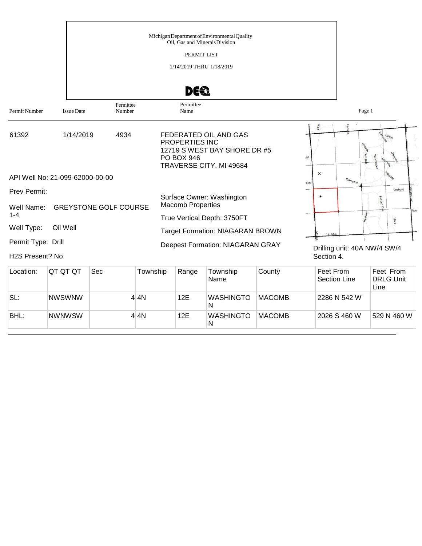| Permit Number                         | <b>Issue Date</b>               | Permittee<br>Number          |          | DE 2<br>Permittee<br>Name                             |                                                                                  |        |                 |                                  | Page 1                       |
|---------------------------------------|---------------------------------|------------------------------|----------|-------------------------------------------------------|----------------------------------------------------------------------------------|--------|-----------------|----------------------------------|------------------------------|
| 61392                                 | 1/14/2019                       | 4934                         |          | PROPERTIES INC<br><b>PO BOX 946</b>                   | FEDERATED OIL AND GAS<br>12719 S WEST BAY SHORE DR #5<br>TRAVERSE CITY, MI 49684 |        | 高<br><b>Ke</b>  |                                  | MSL                          |
|                                       | API Well No: 21-099-62000-00-00 |                              |          |                                                       |                                                                                  |        | $\times$<br>aks | $F_{\text{ra}_{mpt_{\text{on}}}$ |                              |
| Prev Permit:<br>Well Name:<br>$1 - 4$ |                                 | <b>GREYSTONE GOLF COURSE</b> |          | Surface Owner: Washington<br><b>Macomb Properties</b> |                                                                                  |        |                 |                                  | Orchard<br>Woo               |
| Well Type:                            | Oil Well                        |                              |          |                                                       | True Vertical Depth: 3750FT                                                      |        |                 |                                  | Mack                         |
|                                       |                                 |                              |          |                                                       | <b>Target Formation: NIAGARAN BROWN</b>                                          |        |                 |                                  |                              |
| Permit Type: Drill<br>H2S Present? No |                                 |                              |          |                                                       | <b>Deepest Formation: NIAGARAN GRAY</b>                                          |        | Section 4.      |                                  | Drilling unit: 40A NW/4 SW/4 |
| Location:                             | QT QT QT                        | Sec                          | Township | Range                                                 | Township<br>Name                                                                 | County | Feet From       | Section Line                     | Feet From<br>DRI G Unit      |

| LUCQUUI. | <u>UI UI UI</u> | ৩৮৮ | <b>TUWISHIP</b> | <b>Naliye</b> | TUWISHIP<br>Name      | ∪∪u⊓uv        | <b>FEELFIUII</b><br>Section Line | <b>FEEL FIUII</b><br><b>DRLG Unit</b><br>Line |
|----------|-----------------|-----|-----------------|---------------|-----------------------|---------------|----------------------------------|-----------------------------------------------|
| SL:      | <b>NWSWNW</b>   |     | 4 4 N           | 12E           | <b>WASHINGTO</b><br>N | <b>MACOMB</b> | 2286 N 542 W                     |                                               |
| BHL:     | <b>NWNWSW</b>   |     | 4 4N            | 12E           | <b>WASHINGTO</b><br>N | <b>MACOMB</b> | 2026 S 460 W                     | 529 N 460 W                                   |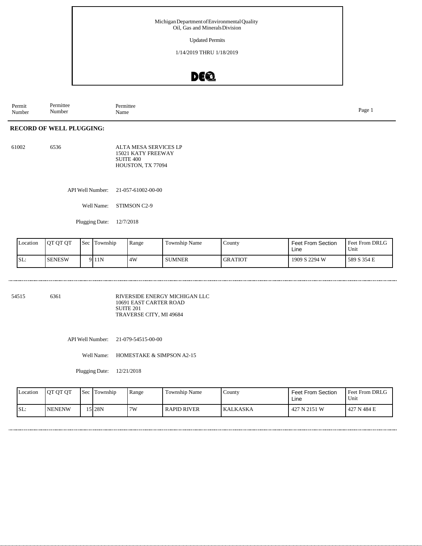Updated Permits

1/14/2019 THRU 1/18/2019

### DE®

Permittee Number Permit Number Permittee Name Page 1

#### **RECORD OF WELL PLUGGING:**

| 61002 | 6536 | ALTA MESA SERVICES LP |
|-------|------|-----------------------|
|       |      | 15021 KATY FREEWAY    |
|       |      | SUITE 400             |
|       |      | HOUSTON, TX 77094     |

API Well Number: 21-057-61002-00-00

Well Name: STIMSON C2-9

Plugging Date: 12/7/2018

| Location | OT OT OT      | <b>Sec</b> | Township | Range | <b>Township Name</b> | County         | <b>Feet From Section</b><br>Line | Feet From DRLG<br>Unit |
|----------|---------------|------------|----------|-------|----------------------|----------------|----------------------------------|------------------------|
| SL:      | <b>SENESW</b> |            | 9 11N    | 4W    | <b>SUMNER</b>        | <b>GRATIOT</b> | 1909 S 2294 W                    | 589 S 354 E            |

54515 6361 RIVERSIDE ENERGY MICHIGAN LLC 10691 EAST CARTER ROAD SUITE 201 TRAVERSE CITY, MI 49684

API Well Number: 21-079-54515-00-00

Well Name: HOMESTAKE & SIMPSON A2-15

Plugging Date: 12/21/2018

| Location | <b>OT OT OT</b> | <b>Sec</b> | Township | Range | Township Name      | County   | <b>Feet From Section</b><br>Line | <b>Feet From DRLG</b><br>Unit |
|----------|-----------------|------------|----------|-------|--------------------|----------|----------------------------------|-------------------------------|
| ISL:     | <b>NENENW</b>   |            | 15 28N   | 7W    | <b>RAPID RIVER</b> | KALKASKA | 427 N 2151 W                     | 427 N 484 E                   |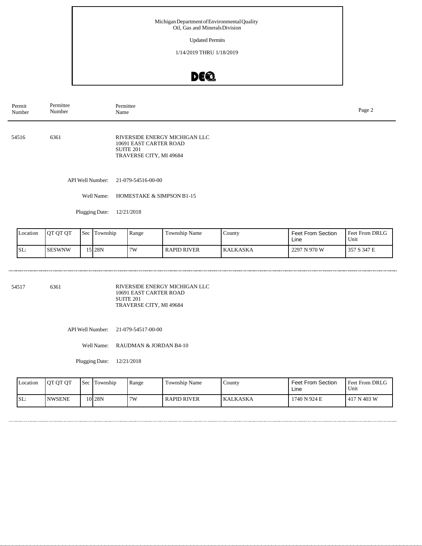Updated Permits

1/14/2019 THRU 1/18/2019

# DEQ

| Permit<br>Number | Permittee<br>Number | Permittee<br>Name                                                                               |  |  |  |  |
|------------------|---------------------|-------------------------------------------------------------------------------------------------|--|--|--|--|
| 54516            | 6361                | RIVERSIDE ENERGY MICHIGAN LLC<br>10691 EAST CARTER ROAD<br>SUITE 201<br>TRAVERSE CITY, MI 49684 |  |  |  |  |
|                  | API Well Number:    | 21-079-54516-00-00                                                                              |  |  |  |  |
|                  | Well Name:          | HOMESTAKE & SIMPSON B1-15                                                                       |  |  |  |  |

Plugging Date: 12/21/2018

| Location | <b>QT QT QT</b> | <b>Sec</b> | Township    | Range     | <b>Township Name</b> | County   | <b>Feet From Section</b><br>Line | <b>Feet From DRLG</b><br>Unit |
|----------|-----------------|------------|-------------|-----------|----------------------|----------|----------------------------------|-------------------------------|
| SL:      | <b>SESWNW</b>   |            | <b>528N</b> | <b>7W</b> | <b>RAPID RIVER</b>   | KALKASKA | 2297 N 970 W                     | 357 S 347 E                   |

54517 6361 RIVERSIDE ENERGY MICHIGAN LLC 10691 EAST CARTER ROAD SUITE 201 TRAVERSE CITY, MI 49684

API Well Number: 21-079-54517-00-00

Well Name: RAUDMAN & JORDAN B4-10

Plugging Date: 12/21/2018

| Location | OT OT OT      | Sec Township      | Range | Township Name      | County   | <b>Feet From Section</b><br>∟ine | <b>Feet From DRLG</b><br>Unit |
|----------|---------------|-------------------|-------|--------------------|----------|----------------------------------|-------------------------------|
| SL:      | <b>NWSENE</b> | 10 <sub>28N</sub> | 7W    | <b>RAPID RIVER</b> | KALKASKA | 1740 N 924 E                     | 417 N 403 W                   |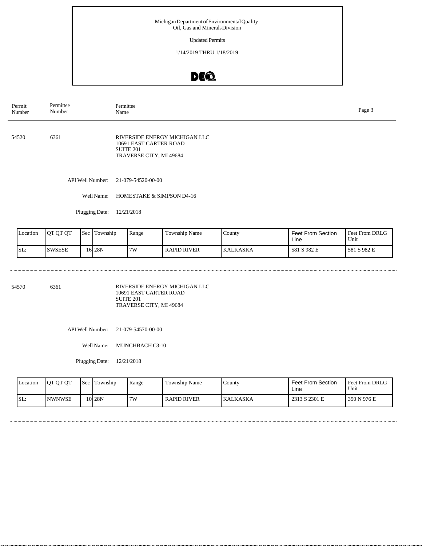Updated Permits

1/14/2019 THRU 1/18/2019

# DEQ

| Permit<br>Number | Permittee<br>Number | Permittee<br>Name                                                                               |  |  |  |  |
|------------------|---------------------|-------------------------------------------------------------------------------------------------|--|--|--|--|
| 54520            | 6361                | RIVERSIDE ENERGY MICHIGAN LLC<br>10691 EAST CARTER ROAD<br>SUITE 201<br>TRAVERSE CITY, MI 49684 |  |  |  |  |
|                  | API Well Number:    | 21-079-54520-00-00                                                                              |  |  |  |  |
|                  | Well Name:          | HOMESTAKE & SIMPSON D4-16                                                                       |  |  |  |  |

Plugging Date: 12/21/2018

| Location | <b>QT QT QT</b> | <b>Sec</b> | Township          | Range | Township Name      | County   | <b>Feet From Section</b><br>Line | <b>Feet From DRLG</b><br>Unit |
|----------|-----------------|------------|-------------------|-------|--------------------|----------|----------------------------------|-------------------------------|
| SL:      | <b>SWSESE</b>   |            | 16 <sup>28N</sup> | 7W    | <b>RAPID RIVER</b> | KALKASKA | 581 S 982 E                      | 581 S 982 E                   |

54570 6361 RIVERSIDE ENERGY MICHIGAN LLC 10691 EAST CARTER ROAD SUITE 201 TRAVERSE CITY, MI 49684

API Well Number: 21-079-54570-00-00

Well Name: MUNCHBACH C3-10

Plugging Date: 12/21/2018

| Location | OT OT OT      | <b>Sec</b> | Township          | Range | Township Name      | County   | Feet From Section<br>Line | Feet From DRLG<br>Unit |
|----------|---------------|------------|-------------------|-------|--------------------|----------|---------------------------|------------------------|
| SL:      | <b>NWNWSE</b> |            | 10 <sub>28N</sub> | 7W    | <b>RAPID RIVER</b> | KALKASKA | 2313 S 2301 E             | 350 N 976 E            |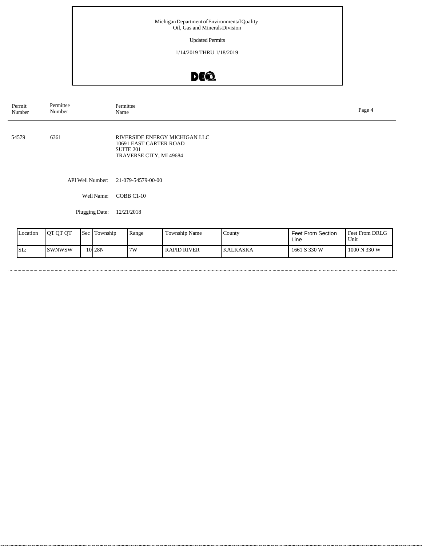Updated Permits

1/14/2019 THRU 1/18/2019

# DEQ

| Permit<br>Number | Permittee<br>Number | Permittee<br>Name                                                                                      | Page 4 |
|------------------|---------------------|--------------------------------------------------------------------------------------------------------|--------|
| 54579            | 6361                | RIVERSIDE ENERGY MICHIGAN LLC<br>10691 EAST CARTER ROAD<br><b>SUITE 201</b><br>TRAVERSE CITY, MI 49684 |        |
|                  | API Well Number:    | 21-079-54579-00-00                                                                                     |        |
|                  | Well Name:          | COBB C1-10                                                                                             |        |
|                  | Plugging Date:      | 12/21/2018                                                                                             |        |

| Location | <b>OT OT OT</b> | <b>Sec</b> | Township | Range | Township Name      | County          | Feet From Section<br>Line | Feet From DRLG<br>Unit |
|----------|-----------------|------------|----------|-------|--------------------|-----------------|---------------------------|------------------------|
| SL:      | <b>SWNWSW</b>   |            | $10$ 28N | 7W    | <b>RAPID RIVER</b> | <b>KALKASKA</b> | 1661 S 330 W              | 1000 N 330 W           |

. . . . . .

. . . . . .

. . . . . . . . . . . . . . .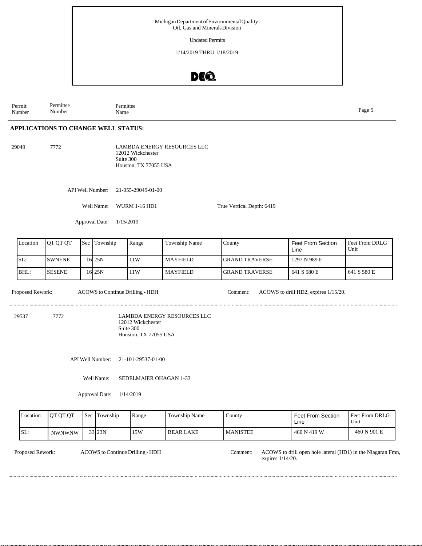Updated Permits

1/14/2019 THRU 1/18/2019

### DE®

Permittee Number Permit Number Permittee Name Page 5

#### **APPLICATIONS TO CHANGE WELL STATUS:**

29049 7772 LAMBDA ENERGY RESOURCES LLC 12012 Wickchester Suite 300 Houston, TX 77055 USA

API Well Number: 21-055-29049-01-00

Well Name: WURM 1-16 HD1 True Vertical Depth: 6419

Approval Date: 1/15/2019

| Location | OT OT OT      | <b>Sec</b> | Township | Range | Township Name   | County                | <b>Feet From Section</b><br>Line | Feet From DRLG<br>Unit |
|----------|---------------|------------|----------|-------|-----------------|-----------------------|----------------------------------|------------------------|
| SL:      | <b>SWNENE</b> |            | 16 25 N  | 11W   | <b>MAYFIELD</b> | <b>GRAND TRAVERSE</b> | 1297 N 989 E                     |                        |
| BHL:     | <b>SESENE</b> |            | 16 25 N  | 11W   | <b>MAYFIELD</b> | <b>GRAND TRAVERSE</b> | 641 S 580 E                      | 641 S 580 E            |

Proposed Rework: ACOWS to Continue Drilling - HDH Comment: ACOWS to drill HD2, expires 1/15/20.

.....................

29537 7772 LAMBDA ENERGY RESOURCES LLC 12012 Wickchester Suite 300 Houston, TX 77055 USA

API Well Number: 21-101-29537-01-00

Well Name: SEDELMAIER OHAGAN 1-33

............................

Approval Date: 1/14/2019

| Location | <b>OT OT OT</b> | <b>Sec</b> | $\sim$<br>Township | Range | Township Name    | County          | <b>Feet From Section</b><br>Line | <b>Feet From DRLG</b><br>Unit |
|----------|-----------------|------------|--------------------|-------|------------------|-----------------|----------------------------------|-------------------------------|
| SL:      | <b>NWNWNW</b>   |            | 33 23N             | 15W   | <b>BEAR LAKE</b> | <b>MANISTEE</b> | 460 N 419 W                      | 460 N 901 E                   |

Proposed Rework: ACOWS to Continue Drilling - HDH Comment: ACOWS to drill open hole lateral (HD1) in the Niagaran Fmn, expires 1/14/20.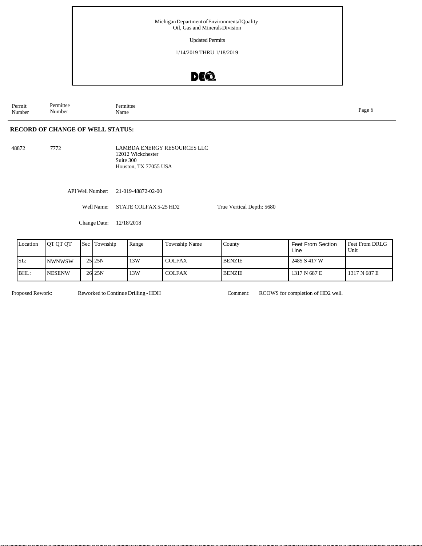Updated Permits

1/14/2019 THRU 1/18/2019

### DEQ

Permittee Number Permit Number Permittee Name Page 6

#### **RECORD OF CHANGE OF WELL STATUS:**

48872 7772 LAMBDA ENERGY RESOURCES LLC 12012 Wickchester Suite 300 Houston, TX 77055 USA

API Well Number: 21-019-48872-02-00

Well Name: STATE COLFAX 5-25 HD2 True Vertical Depth: 5680

Change Date: 12/18/2018

| Location | OT OT OT      | Sec | Township | Range | Township Name | County        | <b>Feet From Section</b><br>Line | Feet From DRLG<br>Unit |
|----------|---------------|-----|----------|-------|---------------|---------------|----------------------------------|------------------------|
| SL:      | <b>NWNWSW</b> |     | 25 25N   | 13W   | <b>COLFAX</b> | <b>BENZIE</b> | 2485 S 417 W                     |                        |
| BHL:     | <b>NESENW</b> |     | 26 25 N  | 13W   | <b>COLFAX</b> | <b>BENZIE</b> | 1317 N 687 E                     | 1317 N 687 E           |

Proposed Rework: Reworked toContinue Drilling - HDH Comment: RCOWS for completion of HD2 well.